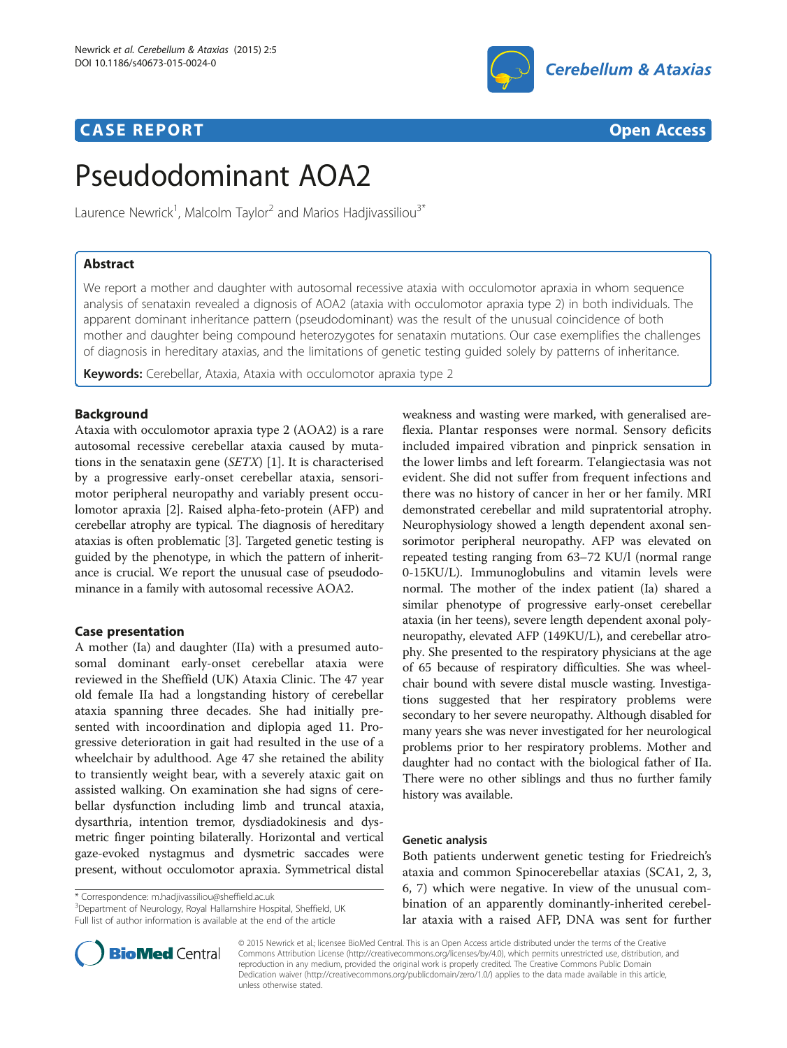## **CASE REPORT CASE REPORT CASE REPORT**



# Pseudodominant AOA2

Laurence Newrick<sup>1</sup>, Malcolm Taylor<sup>2</sup> and Marios Hadjivassiliou<sup>3\*</sup>

## Abstract

We report a mother and daughter with autosomal recessive ataxia with occulomotor apraxia in whom sequence analysis of senataxin revealed a dignosis of AOA2 (ataxia with occulomotor apraxia type 2) in both individuals. The apparent dominant inheritance pattern (pseudodominant) was the result of the unusual coincidence of both mother and daughter being compound heterozygotes for senataxin mutations. Our case exemplifies the challenges of diagnosis in hereditary ataxias, and the limitations of genetic testing guided solely by patterns of inheritance.

Keywords: Cerebellar, Ataxia, Ataxia with occulomotor apraxia type 2

## Background

Ataxia with occulomotor apraxia type 2 (AOA2) is a rare autosomal recessive cerebellar ataxia caused by mutations in the senataxin gene (SETX) [\[1\]](#page-1-0). It is characterised by a progressive early-onset cerebellar ataxia, sensorimotor peripheral neuropathy and variably present occulomotor apraxia [[2](#page-1-0)]. Raised alpha-feto-protein (AFP) and cerebellar atrophy are typical. The diagnosis of hereditary ataxias is often problematic [\[3\]](#page-1-0). Targeted genetic testing is guided by the phenotype, in which the pattern of inheritance is crucial. We report the unusual case of pseudodominance in a family with autosomal recessive AOA2.

## Case presentation

A mother (Ia) and daughter (IIa) with a presumed autosomal dominant early-onset cerebellar ataxia were reviewed in the Sheffield (UK) Ataxia Clinic. The 47 year old female IIa had a longstanding history of cerebellar ataxia spanning three decades. She had initially presented with incoordination and diplopia aged 11. Progressive deterioration in gait had resulted in the use of a wheelchair by adulthood. Age 47 she retained the ability to transiently weight bear, with a severely ataxic gait on assisted walking. On examination she had signs of cerebellar dysfunction including limb and truncal ataxia, dysarthria, intention tremor, dysdiadokinesis and dysmetric finger pointing bilaterally. Horizontal and vertical gaze-evoked nystagmus and dysmetric saccades were present, without occulomotor apraxia. Symmetrical distal

\* Correspondence: [m.hadjivassiliou@sheffield.ac.uk](mailto:m.hadjivassiliou@sheffield.ac.uk) <sup>3</sup>

<sup>3</sup>Department of Neurology, Royal Hallamshire Hospital, Sheffield, UK Full list of author information is available at the end of the article



## Genetic analysis

Both patients underwent genetic testing for Friedreich's ataxia and common Spinocerebellar ataxias (SCA1, 2, 3, 6, 7) which were negative. In view of the unusual combination of an apparently dominantly-inherited cerebellar ataxia with a raised AFP, DNA was sent for further



© 2015 Newrick et al.; licensee BioMed Central. This is an Open Access article distributed under the terms of the Creative Commons Attribution License [\(http://creativecommons.org/licenses/by/4.0\)](http://creativecommons.org/licenses/by/4.0), which permits unrestricted use, distribution, and reproduction in any medium, provided the original work is properly credited. The Creative Commons Public Domain Dedication waiver [\(http://creativecommons.org/publicdomain/zero/1.0/](http://creativecommons.org/publicdomain/zero/1.0/)) applies to the data made available in this article, unless otherwise stated.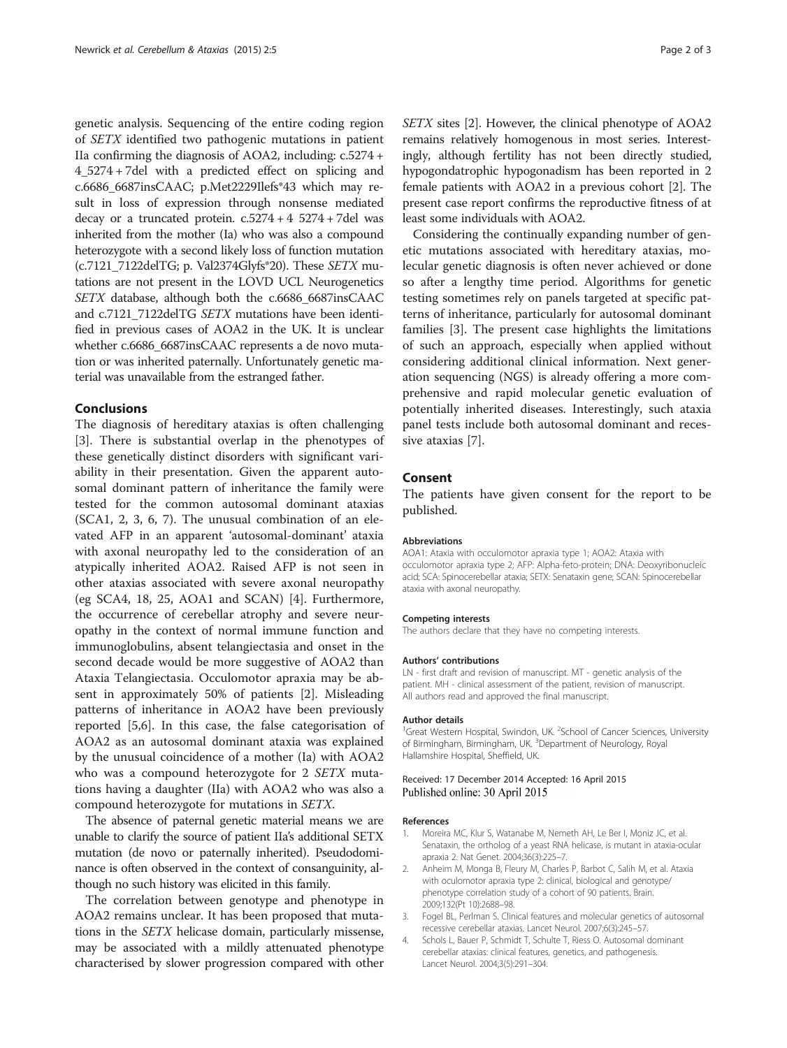<span id="page-1-0"></span>genetic analysis. Sequencing of the entire coding region of SETX identified two pathogenic mutations in patient IIa confirming the diagnosis of AOA2, including: c.5274 + 4\_5274 + 7del with a predicted effect on splicing and c.6686\_6687insCAAC; p.Met2229Ilefs\*43 which may result in loss of expression through nonsense mediated decay or a truncated protein.  $c.5274 + 4.5274 + 7$ del was inherited from the mother (Ia) who was also a compound heterozygote with a second likely loss of function mutation (c.7121\_7122delTG; p. Val2374Glyfs\*20). These SETX mutations are not present in the LOVD UCL Neurogenetics SETX database, although both the c.6686\_6687insCAAC and c.7121\_7122delTG SETX mutations have been identified in previous cases of AOA2 in the UK. It is unclear whether c.6686\_6687insCAAC represents a de novo mutation or was inherited paternally. Unfortunately genetic material was unavailable from the estranged father.

#### Conclusions

The diagnosis of hereditary ataxias is often challenging [3]. There is substantial overlap in the phenotypes of these genetically distinct disorders with significant variability in their presentation. Given the apparent autosomal dominant pattern of inheritance the family were tested for the common autosomal dominant ataxias (SCA1, 2, 3, 6, 7). The unusual combination of an elevated AFP in an apparent 'autosomal-dominant' ataxia with axonal neuropathy led to the consideration of an atypically inherited AOA2. Raised AFP is not seen in other ataxias associated with severe axonal neuropathy (eg SCA4, 18, 25, AOA1 and SCAN) [4]. Furthermore, the occurrence of cerebellar atrophy and severe neuropathy in the context of normal immune function and immunoglobulins, absent telangiectasia and onset in the second decade would be more suggestive of AOA2 than Ataxia Telangiectasia. Occulomotor apraxia may be absent in approximately 50% of patients [2]. Misleading patterns of inheritance in AOA2 have been previously reported [[5,6\]](#page-2-0). In this case, the false categorisation of AOA2 as an autosomal dominant ataxia was explained by the unusual coincidence of a mother (Ia) with AOA2 who was a compound heterozygote for 2 SETX mutations having a daughter (IIa) with AOA2 who was also a compound heterozygote for mutations in SETX.

The absence of paternal genetic material means we are unable to clarify the source of patient IIa's additional SETX mutation (de novo or paternally inherited). Pseudodominance is often observed in the context of consanguinity, although no such history was elicited in this family.

The correlation between genotype and phenotype in AOA2 remains unclear. It has been proposed that mutations in the SETX helicase domain, particularly missense, may be associated with a mildly attenuated phenotype characterised by slower progression compared with other SETX sites [2]. However, the clinical phenotype of AOA2 remains relatively homogenous in most series. Interestingly, although fertility has not been directly studied, hypogondatrophic hypogonadism has been reported in 2 female patients with AOA2 in a previous cohort [2]. The present case report confirms the reproductive fitness of at least some individuals with AOA2.

Considering the continually expanding number of genetic mutations associated with hereditary ataxias, molecular genetic diagnosis is often never achieved or done so after a lengthy time period. Algorithms for genetic testing sometimes rely on panels targeted at specific patterns of inheritance, particularly for autosomal dominant families [3]. The present case highlights the limitations of such an approach, especially when applied without considering additional clinical information. Next generation sequencing (NGS) is already offering a more comprehensive and rapid molecular genetic evaluation of potentially inherited diseases. Interestingly, such ataxia panel tests include both autosomal dominant and recessive ataxias [[7\]](#page-2-0).

#### Consent

The patients have given consent for the report to be published.

#### Abbreviations

AOA1: Ataxia with occulomotor apraxia type 1; AOA2: Ataxia with occulomotor apraxia type 2; AFP: Alpha-feto-protein; DNA: Deoxyribonucleic acid; SCA: Spinocerebellar ataxia; SETX: Senataxin gene; SCAN: Spinocerebellar ataxia with axonal neuropathy.

#### Competing interests

The authors declare that they have no competing interests.

#### Authors' contributions

LN - first draft and revision of manuscript. MT - genetic analysis of the patient. MH - clinical assessment of the patient, revision of manuscript. All authors read and approved the final manuscript.

#### Author details

<sup>1</sup>Great Western Hospital, Swindon, UK. <sup>2</sup>School of Cancer Sciences, University of Birmingham, Birmingham, UK. <sup>3</sup>Department of Neurology, Royal Hallamshire Hospital, Sheffield, UK.

#### Received: 17 December 2014 Accepted: 16 April 2015 Published online: 30 April 2015

#### References

- Moreira MC, Klur S, Watanabe M, Nemeth AH, Le Ber I, Moniz JC, et al. Senataxin, the ortholog of a yeast RNA helicase, is mutant in ataxia-ocular apraxia 2. Nat Genet. 2004;36(3):225–7.
- 2. Anheim M, Monga B, Fleury M, Charles P, Barbot C, Salih M, et al. Ataxia with oculomotor apraxia type 2: clinical, biological and genotype/ phenotype correlation study of a cohort of 90 patients. Brain. 2009;132(Pt 10):2688–98.
- 3. Fogel BL, Perlman S. Clinical features and molecular genetics of autosomal recessive cerebellar ataxias. Lancet Neurol. 2007;6(3):245–57.
- 4. Schols L, Bauer P, Schmidt T, Schulte T, Riess O. Autosomal dominant cerebellar ataxias: clinical features, genetics, and pathogenesis. Lancet Neurol. 2004;3(5):291–304.